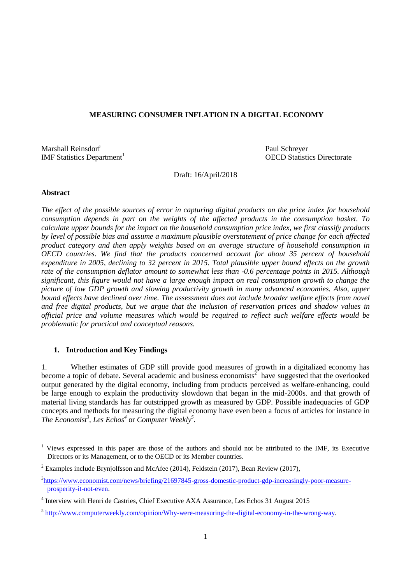#### **MEASURING CONSUMER INFLATION IN A DIGITAL ECONOMY**

Marshall Reinsdorf **Paul Schreyer** Paul Schreyer

IMF Statistics Department<sup>1</sup> and OECD Statistics Directorate

Draft: 16/April/2018

#### **Abstract**

 $\overline{a}$ 

*The effect of the possible sources of error in capturing digital products on the price index for household consumption depends in part on the weights of the affected products in the consumption basket. To calculate upper bounds for the impact on the household consumption price index, we first classify products by level of possible bias and assume a maximum plausible overstatement of price change for each affected product category and then apply weights based on an average structure of household consumption in OECD countries. We find that the products concerned account for about 35 percent of household expenditure in 2005, declining to 32 percent in 2015. Total plausible upper bound effects on the growth rate of the consumption deflator amount to somewhat less than -0.6 percentage points in 2015. Although significant, this figure would not have a large enough impact on real consumption growth to change the picture of low GDP growth and slowing productivity growth in many advanced economies. Also, upper bound effects have declined over time. The assessment does not include broader welfare effects from novel and free digital products, but we argue that the inclusion of reservation prices and shadow values in official price and volume measures which would be required to reflect such welfare effects would be problematic for practical and conceptual reasons.* 

#### **1. Introduction and Key Findings**

1. Whether estimates of GDP still provide good measures of growth in a digitalized economy has become a topic of debate. Several academic and business economists<sup>2</sup> have suggested that the overlooked output generated by the digital economy, including from products perceived as welfare-enhancing, could be large enough to explain the productivity slowdown that began in the mid-2000s. and that growth of material living standards has far outstripped growth as measured by GDP. Possible inadequacies of GDP concepts and methods for measuring the digital economy have even been a focus of articles for instance in *The Economist<sup>3</sup> , Les Echos<sup>4</sup>* or *Computer Weekly<sup>5</sup>* .

<sup>&</sup>lt;sup>1</sup> Views expressed in this paper are those of the authors and should not be attributed to the IMF, its Executive Directors or its Management, or to the OECD or its Member countries.

 $2$  Examples include Bryniolfsson and McAfee (2014), Feldstein (2017), Bean Review (2017),

<sup>&</sup>lt;sup>3</sup>[https://www.economist.com/news/briefing/21697845-gross-domestic-product-gdp-increasingly-poor-measure](https://www.economist.com/news/briefing/21697845-gross-domestic-product-gdp-increasingly-poor-measure-prosperity-it-not-even)[prosperity-it-not-even.](https://www.economist.com/news/briefing/21697845-gross-domestic-product-gdp-increasingly-poor-measure-prosperity-it-not-even)

<sup>&</sup>lt;sup>4</sup> Interview with Henri de Castries, Chief Executive AXA Assurance, Les Echos 31 August 2015

<sup>&</sup>lt;sup>5</sup> [http://www.computerweekly.com/opinion/Why-were-measuring-the-digital-economy-in-the-wrong-way.](http://www.computerweekly.com/opinion/Why-were-measuring-the-digital-economy-in-the-wrong-way)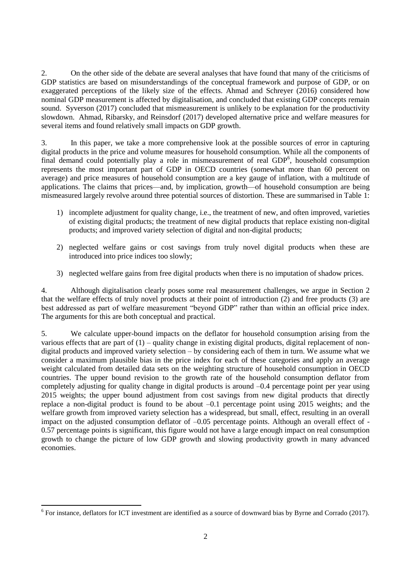2. On the other side of the debate are several analyses that have found that many of the criticisms of GDP statistics are based on misunderstandings of the conceptual framework and purpose of GDP, or on exaggerated perceptions of the likely size of the effects. Ahmad and Schreyer (2016) considered how nominal GDP measurement is affected by digitalisation, and concluded that existing GDP concepts remain sound. Syverson (2017) concluded that mismeasurement is unlikely to be explanation for the productivity slowdown. Ahmad, Ribarsky, and Reinsdorf (2017) developed alternative price and welfare measures for several items and found relatively small impacts on GDP growth.

3. In this paper, we take a more comprehensive look at the possible sources of error in capturing digital products in the price and volume measures for household consumption. While all the components of final demand could potentially play a role in mismeasurement of real  $GDP<sup>6</sup>$ , household consumption represents the most important part of GDP in OECD countries (somewhat more than 60 percent on average) and price measures of household consumption are a key gauge of inflation, with a multitude of applications. The claims that prices—and, by implication, growth—of household consumption are being mismeasured largely revolve around three potential sources of distortion. These are summarised in Table 1:

- 1) incomplete adjustment for quality change, i.e., the treatment of new, and often improved, varieties of existing digital products; the treatment of new digital products that replace existing non-digital products; and improved variety selection of digital and non-digital products;
- 2) neglected welfare gains or cost savings from truly novel digital products when these are introduced into price indices too slowly;
- 3) neglected welfare gains from free digital products when there is no imputation of shadow prices.

4. Although digitalisation clearly poses some real measurement challenges, we argue in Section 2 that the welfare effects of truly novel products at their point of introduction (2) and free products (3) are best addressed as part of welfare measurement "beyond GDP" rather than within an official price index. The arguments for this are both conceptual and practical.

5. We calculate upper-bound impacts on the deflator for household consumption arising from the various effects that are part of  $(1)$  – quality change in existing digital products, digital replacement of nondigital products and improved variety selection – by considering each of them in turn. We assume what we consider a maximum plausible bias in the price index for each of these categories and apply an average weight calculated from detailed data sets on the weighting structure of household consumption in OECD countries. The upper bound revision to the growth rate of the household consumption deflator from completely adjusting for quality change in digital products is around –0.4 percentage point per year using 2015 weights; the upper bound adjustment from cost savings from new digital products that directly replace a non-digital product is found to be about –0.1 percentage point using 2015 weights; and the welfare growth from improved variety selection has a widespread, but small, effect, resulting in an overall impact on the adjusted consumption deflator of –0.05 percentage points. Although an overall effect of - 0.57 percentage points is significant, this figure would not have a large enough impact on real consumption growth to change the picture of low GDP growth and slowing productivity growth in many advanced economies.

 $\overline{a}$ 

 $6$  For instance, deflators for ICT investment are identified as a source of downward bias by Byrne and Corrado (2017).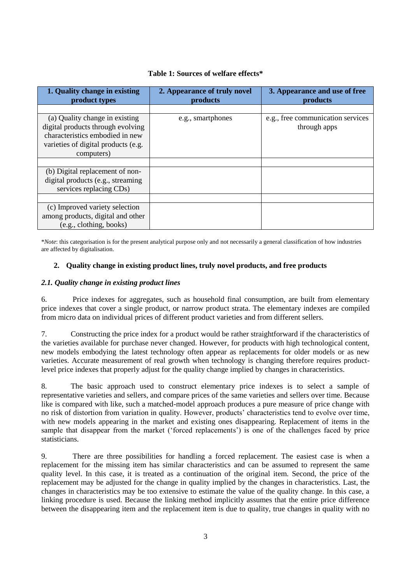| 1. Quality change in existing<br>product types                                                                                                              | 2. Appearance of truly novel<br>products | 3. Appearance and use of free<br>products         |
|-------------------------------------------------------------------------------------------------------------------------------------------------------------|------------------------------------------|---------------------------------------------------|
|                                                                                                                                                             |                                          |                                                   |
| (a) Quality change in existing<br>digital products through evolving<br>characteristics embodied in new<br>varieties of digital products (e.g.<br>computers) | e.g., smartphones                        | e.g., free communication services<br>through apps |
|                                                                                                                                                             |                                          |                                                   |
| (b) Digital replacement of non-<br>digital products (e.g., streaming<br>services replacing CDs)                                                             |                                          |                                                   |
|                                                                                                                                                             |                                          |                                                   |
| (c) Improved variety selection<br>among products, digital and other<br>(e.g., clothing, books)                                                              |                                          |                                                   |

# **Table 1: Sources of welfare effects\***

\**Note*: this categorisation is for the present analytical purpose only and not necessarily a general classification of how industries are affected by digitalisation.

#### **2. Quality change in existing product lines, truly novel products, and free products**

# *2.1. Quality change in existing product lines*

6. Price indexes for aggregates, such as household final consumption, are built from elementary price indexes that cover a single product, or narrow product strata. The elementary indexes are compiled from micro data on individual prices of different product varieties and from different sellers.

7. Constructing the price index for a product would be rather straightforward if the characteristics of the varieties available for purchase never changed. However, for products with high technological content, new models embodying the latest technology often appear as replacements for older models or as new varieties. Accurate measurement of real growth when technology is changing therefore requires productlevel price indexes that properly adjust for the quality change implied by changes in characteristics.

8. The basic approach used to construct elementary price indexes is to select a sample of representative varieties and sellers, and compare prices of the same varieties and sellers over time. Because like is compared with like, such a matched-model approach produces a pure measure of price change with no risk of distortion from variation in quality. However, products' characteristics tend to evolve over time, with new models appearing in the market and existing ones disappearing. Replacement of items in the sample that disappear from the market ('forced replacements') is one of the challenges faced by price statisticians.

9. There are three possibilities for handling a forced replacement. The easiest case is when a replacement for the missing item has similar characteristics and can be assumed to represent the same quality level. In this case, it is treated as a continuation of the original item. Second, the price of the replacement may be adjusted for the change in quality implied by the changes in characteristics. Last, the changes in characteristics may be too extensive to estimate the value of the quality change. In this case, a linking procedure is used. Because the linking method implicitly assumes that the entire price difference between the disappearing item and the replacement item is due to quality, true changes in quality with no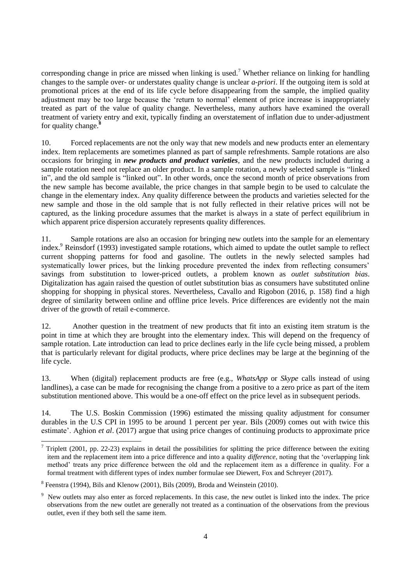corresponding change in price are missed when linking is used.<sup>7</sup> Whether reliance on linking for handling changes to the sample over- or understates quality change is unclear *a-priori*. If the outgoing item is sold at promotional prices at the end of its life cycle before disappearing from the sample, the implied quality adjustment may be too large because the 'return to normal' element of price increase is inappropriately treated as part of the value of quality change. Nevertheless, many authors have examined the overall treatment of variety entry and exit, typically finding an overstatement of inflation due to under-adjustment for quality change. **8**

10. Forced replacements are not the only way that new models and new products enter an elementary index. Item replacements are sometimes planned as part of sample refreshments. Sample rotations are also occasions for bringing in *new products and product varieties*, and the new products included during a sample rotation need not replace an older product. In a sample rotation, a newly selected sample is "linked in", and the old sample is "linked out". In other words, once the second month of price observations from the new sample has become available, the price changes in that sample begin to be used to calculate the change in the elementary index. Any quality difference between the products and varieties selected for the new sample and those in the old sample that is not fully reflected in their relative prices will not be captured, as the linking procedure assumes that the market is always in a state of perfect equilibrium in which apparent price dispersion accurately represents quality differences.

11. Sample rotations are also an occasion for bringing new outlets into the sample for an elementary index.<sup>9</sup> Reinsdorf (1993) investigated sample rotations, which aimed to update the outlet sample to reflect current shopping patterns for food and gasoline. The outlets in the newly selected samples had systematically lower prices, but the linking procedure prevented the index from reflecting consumers' savings from substitution to lower-priced outlets, a problem known as *outlet substitution bias*. Digitalization has again raised the question of outlet substitution bias as consumers have substituted online shopping for shopping in physical stores. Nevertheless, Cavallo and Rigobon (2016, p. 158) find a high degree of similarity between online and offline price levels. Price differences are evidently not the main driver of the growth of retail e-commerce.

12. Another question in the treatment of new products that fit into an existing item stratum is the point in time at which they are brought into the elementary index. This will depend on the frequency of sample rotation. Late introduction can lead to price declines early in the life cycle being missed, a problem that is particularly relevant for digital products, where price declines may be large at the beginning of the life cycle.

13. When (digital) replacement products are free (e.g., *WhatsApp* or *Skype* calls instead of using landlines), a case can be made for recognising the change from a positive to a zero price as part of the item substitution mentioned above. This would be a one-off effect on the price level as in subsequent periods.

14. The U.S. Boskin Commission (1996) estimated the missing quality adjustment for consumer durables in the U.S CPI in 1995 to be around 1 percent per year. Bils (2009) comes out with twice this estimate'. Aghion *et al*. (2017) argue that using price changes of continuing products to approximate price

 $\overline{a}$ 

<sup>&</sup>lt;sup>7</sup> Triplett (2001, pp. 22-23) explains in detail the possibilities for splitting the price difference between the exiting item and the replacement item into a price difference and into a quality *difference*, noting that the 'overlapping link method' treats any price difference between the old and the replacement item as a difference in quality. For a formal treatment with different types of index number formulae see Diewert, Fox and Schreyer (2017).

 $8$  Feenstra (1994), Bils and Klenow (2001), Bils (2009), Broda and Weinstein (2010).

<sup>9</sup> New outlets may also enter as forced replacements. In this case, the new outlet is linked into the index. The price observations from the new outlet are generally not treated as a continuation of the observations from the previous outlet, even if they both sell the same item.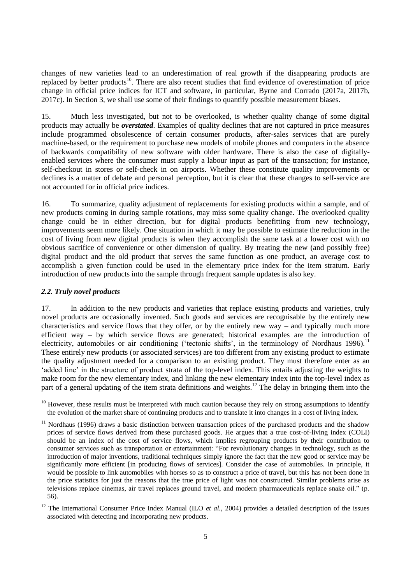changes of new varieties lead to an underestimation of real growth if the disappearing products are replaced by better products<sup>10</sup>. There are also recent studies that find evidence of overestimation of price change in official price indices for ICT and software, in particular, Byrne and Corrado (2017a, 2017b, 2017c). In Section 3, we shall use some of their findings to quantify possible measurement biases.

15. Much less investigated, but not to be overlooked, is whether quality change of some digital products may actually be *overstated*. Examples of quality declines that are not captured in price measures include programmed obsolescence of certain consumer products, after-sales services that are purely machine-based, or the requirement to purchase new models of mobile phones and computers in the absence of backwards compatibility of new software with older hardware. There is also the case of digitallyenabled services where the consumer must supply a labour input as part of the transaction; for instance, self-checkout in stores or self-check in on airports. Whether these constitute quality improvements or declines is a matter of debate and personal perception, but it is clear that these changes to self-service are not accounted for in official price indices.

16. To summarize, quality adjustment of replacements for existing products within a sample, and of new products coming in during sample rotations, may miss some quality change. The overlooked quality change could be in either direction, but for digital products benefitting from new technology, improvements seem more likely. One situation in which it may be possible to estimate the reduction in the cost of living from new digital products is when they accomplish the same task at a lower cost with no obvious sacrifice of convenience or other dimension of quality. By treating the new (and possibly free) digital product and the old product that serves the same function as one product, an average cost to accomplish a given function could be used in the elementary price index for the item stratum. Early introduction of new products into the sample through frequent sample updates is also key.

#### *2.2. Truly novel products*

17. In addition to the new products and varieties that replace existing products and varieties, truly novel products are occasionally invented. Such goods and services are recognisable by the entirely new characteristics and service flows that they offer, or by the entirely new way – and typically much more efficient way – by which service flows are generated; historical examples are the introduction of electricity, automobiles or air conditioning ('tectonic shifts', in the terminology of Nordhaus 1996).<sup>11</sup> These entirely new products (or associated services) are too different from any existing product to estimate the quality adjustment needed for a comparison to an existing product. They must therefore enter as an 'added line' in the structure of product strata of the top-level index. This entails adjusting the weights to make room for the new elementary index, and linking the new elementary index into the top-level index as part of a general updating of the item strata definitions and weights.<sup>12</sup> The delay in bringing them into the

 $10$  However, these results must be interpreted with much caution because they rely on strong assumptions to identify the evolution of the market share of continuing products and to translate it into changes in a cost of living index.

 $11$  Nordhaus (1996) draws a basic distinction between transaction prices of the purchased products and the shadow prices of service flows derived from these purchased goods. He argues that a true cost-of-living index (COLI) should be an index of the cost of service flows, which implies regrouping products by their contribution to consumer services such as transportation or entertainment: "For revolutionary changes in technology, such as the introduction of major inventions, traditional techniques simply ignore the fact that the new good or service may be significantly more efficient [in producing flows of services]. Consider the case of automobiles. In principle, it would be possible to link automobiles with horses so as to construct a price of travel, but this has not been done in the price statistics for just the reasons that the true price of light was not constructed. Similar problems arise as televisions replace cinemas, air travel replaces ground travel, and modern pharmaceuticals replace snake oil." (p. 56).

<sup>&</sup>lt;sup>12</sup> The International Consumer Price Index Manual (ILO *et al.*, 2004) provides a detailed description of the issues associated with detecting and incorporating new products.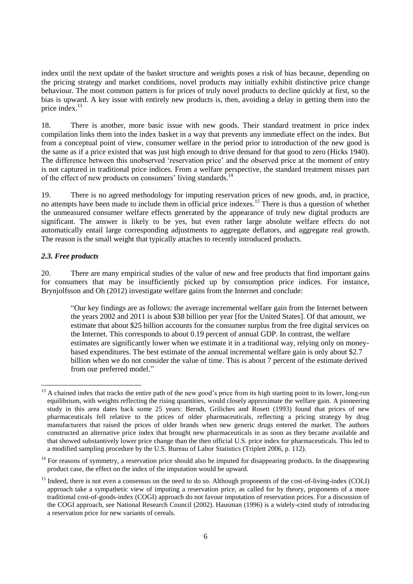index until the next update of the basket structure and weights poses a risk of bias because, depending on the pricing strategy and market conditions, novel products may initially exhibit distinctive price change behaviour. The most common pattern is for prices of truly novel products to decline quickly at first, so the bias is upward. A key issue with entirely new products is, then, avoiding a delay in getting them into the price index.<sup>13</sup>

18. There is another, more basic issue with new goods. Their standard treatment in price index compilation links them into the index basket in a way that prevents any immediate effect on the index. But from a conceptual point of view, consumer welfare in the period prior to introduction of the new good is the same as if a price existed that was just high enough to drive demand for that good to zero (Hicks 1940). The difference between this unobserved 'reservation price' and the observed price at the moment of entry is not captured in traditional price indices. From a welfare perspective, the standard treatment misses part of the effect of new products on consumers' living standards.<sup>14</sup>

19. There is no agreed methodology for imputing reservation prices of new goods, and, in practice, no attempts have been made to include them in official price indexes.<sup>15</sup> There is thus a question of whether the unmeasured consumer welfare effects generated by the appearance of truly new digital products are significant. The answer is likely to be yes, but even rather large absolute welfare effects do not automatically entail large corresponding adjustments to aggregate deflators, and aggregate real growth. The reason is the small weight that typically attaches to recently introduced products.

### *2.3. Free products*

20. There are many empirical studies of the value of new and free products that find important gains for consumers that may be insufficiently picked up by consumption price indices. For instance, Brynjolfsson and Oh (2012) investigate welfare gains from the Internet and conclude:

"Our key findings are as follows: the average incremental welfare gain from the Internet between the years 2002 and 2011 is about \$38 billion per year [for the United States]. Of that amount, we estimate that about \$25 billion accounts for the consumer surplus from the free digital services on the Internet. This corresponds to about 0.19 percent of annual GDP. In contrast, the welfare estimates are significantly lower when we estimate it in a traditional way, relying only on moneybased expenditures. The best estimate of the annual incremental welfare gain is only about \$2.7 billion when we do not consider the value of time. This is about 7 percent of the estimate derived from our preferred model."

<sup>&</sup>lt;sup>13</sup> A chained index that tracks the entire path of the new good's price from its high starting point to its lower, long-run equilibrium, with weights reflecting the rising quantities, would closely approximate the welfare gain. A pioneering study in this area dates back some 25 years: Berndt, Griliches and Rosett (1993) found that prices of new pharmaceuticals fell relative to the prices of older pharmaceuticals, reflecting a pricing strategy by drug manufacturers that raised the prices of older brands when new generic drugs entered the market. The authors constructed an alternative price index that brought new pharmaceuticals in as soon as they became available and that showed substantively lower price change than the then official U.S. price index for pharmaceuticals. This led to a modified sampling procedure by the U.S. Bureau of Labor Statistics (Triplett 2006, p. 112).

 $14$  For reasons of symmetry, a reservation price should also be imputed for disappearing products. In the disappearing product case, the effect on the index of the imputation would be upward.

 $^{15}$  Indeed, there is not even a consensus on the need to do so. Although proponents of the cost-of-living-index (COLI) approach take a sympathetic view of imputing a reservation price, as called for by theory, proponents of a more traditional cost-of-goods-index (COGI) approach do not favour imputation of reservation prices. For a discussion of the COGI approach, see National Research Council (2002). Hausman (1996) is a widely-cited study of introducing a reservation price for new variants of cereals.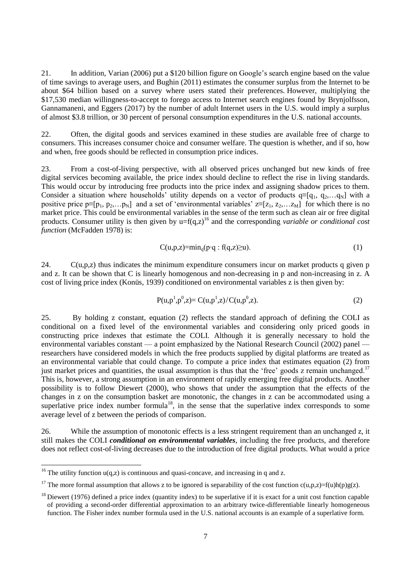21. In addition, Varian (2006) put a \$120 billion figure on Google's search engine based on the value of time savings to average users, and Bughin (2011) estimates the consumer surplus from the Internet to be about \$64 billion based on a survey where users stated their preferences. However, multiplying the \$17,530 median willingness-to-accept to forego access to Internet search engines found by Brynjolfsson, Gannamaneni, and Eggers (2017) by the number of adult Internet users in the U.S. would imply a surplus of almost \$3.8 trillion, or 30 percent of personal consumption expenditures in the U.S. national accounts.

22. Often, the digital goods and services examined in these studies are available free of charge to consumers. This increases consumer choice and consumer welfare. The question is whether, and if so, how and when, free goods should be reflected in consumption price indices.

23. From a cost-of-living perspective, with all observed prices unchanged but new kinds of free digital services becoming available, the price index should decline to reflect the rise in living standards. This would occur by introducing free products into the price index and assigning shadow prices to them. Consider a situation where households' utility depends on a vector of products  $q \equiv [q_1, q_2, \ldots q_N]$  with a positive price p≡[p<sub>1</sub>, p<sub>2</sub>,…p<sub>N</sub>] and a set of 'environmental variables' z≡[z<sub>1</sub>, z<sub>2</sub>,…z<sub>M</sub>] for which there is no market price. This could be environmental variables in the sense of the term such as clean air or free digital products. Consumer utility is then given by  $u=f(q,z)^{16}$  and the corresponding *variable* or conditional cost *function* (McFadden 1978) is:

$$
C(u,p,z)=\min_q(p \cdot q : f(q,z)\geq u). \tag{1}
$$

24. C(u,p,z) thus indicates the minimum expenditure consumers incur on market products q given p and z. It can be shown that C is linearly homogenous and non-decreasing in p and non-increasing in z. A cost of living price index (Konüs, 1939) conditioned on environmental variables z is then given by:

$$
P(u, p1, p0, z) = C(u, p1, z) / C(u, p0, z).
$$
 (2)

25. By holding z constant, equation (2) reflects the standard approach of defining the COLI as conditional on a fixed level of the environmental variables and considering only priced goods in constructing price indexes that estimate the COLI. Although it is generally necessary to hold the environmental variables constant — a point emphasized by the National Research Council (2002) panel researchers have considered models in which the free products supplied by digital platforms are treated as an environmental variable that could change. To compute a price index that estimates equation (2) from just market prices and quantities, the usual assumption is thus that the 'free' goods z remain unchanged.<sup>17</sup> This is, however, a strong assumption in an environment of rapidly emerging free digital products. Another possibility is to follow Diewert (2000), who shows that under the assumption that the effects of the changes in z on the consumption basket are monotonic, the changes in z can be accommodated using a superlative price index number formula<sup>18</sup>, in the sense that the superlative index corresponds to some average level of z between the periods of comparison.

26. While the assumption of monotonic effects is a less stringent requirement than an unchanged z, it still makes the COLI *conditional on environmental variables*, including the free products, and therefore does not reflect cost-of-living decreases due to the introduction of free digital products. What would a price

 $\overline{a}$ 

<sup>&</sup>lt;sup>16</sup> The utility function  $u(q,z)$  is continuous and quasi-concave, and increasing in q and z.

<sup>&</sup>lt;sup>17</sup> The more formal assumption that allows z to be ignored is separability of the cost function  $c(u,p,z)=f(u)h(p)g(z)$ .

 $18$  Diewert (1976) defined a price index (quantity index) to be superlative if it is exact for a unit cost function capable of providing a second-order differential approximation to an arbitrary twice-differentiable linearly homogeneous function. The Fisher index number formula used in the U.S. national accounts is an example of a superlative form.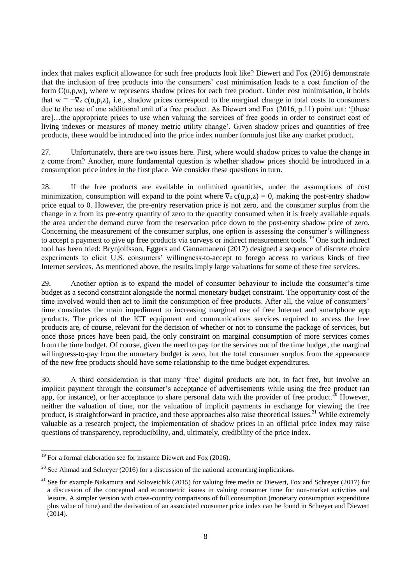index that makes explicit allowance for such free products look like? Diewert and Fox (2016) demonstrate that the inclusion of free products into the consumers' cost minimisation leads to a cost function of the form C(u,p,w), where w represents shadow prices for each free product. Under cost minimisation, it holds that  $w \equiv -\nabla_z c(u,p,z)$ , i.e., shadow prices correspond to the marginal change in total costs to consumers due to the use of one additional unit of a free product. As Diewert and Fox (2016, p.11) point out: '[these are]…the appropriate prices to use when valuing the services of free goods in order to construct cost of living indexes or measures of money metric utility change'. Given shadow prices and quantities of free products, these would be introduced into the price index number formula just like any market product.

27. Unfortunately, there are two issues here. First, where would shadow prices to value the change in z come from? Another, more fundamental question is whether shadow prices should be introduced in a consumption price index in the first place. We consider these questions in turn.

28. If the free products are available in unlimited quantities, under the assumptions of cost minimization, consumption will expand to the point where  $\nabla_z c(u,p,z) = 0$ , making the post-entry shadow price equal to 0. However, the pre-entry reservation price is not zero, and the consumer surplus from the change in z from its pre-entry quantity of zero to the quantity consumed when it is freely available equals the area under the demand curve from the reservation price down to the post-entry shadow price of zero. Concerning the measurement of the consumer surplus, one option is assessing the consumer's willingness to accept a payment to give up free products via surveys or indirect measurement tools.<sup>19</sup> One such indirect tool has been tried: Brynjolfsson, Eggers and Gannamaneni (2017) designed a sequence of discrete choice experiments to elicit U.S. consumers' willingness-to-accept to forego access to various kinds of free Internet services. As mentioned above, the results imply large valuations for some of these free services.

29. Another option is to expand the model of consumer behaviour to include the consumer's time budget as a second constraint alongside the normal monetary budget constraint. The opportunity cost of the time involved would then act to limit the consumption of free products. After all, the value of consumers' time constitutes the main impediment to increasing marginal use of free Internet and smartphone app products. The prices of the ICT equipment and communications services required to access the free products are, of course, relevant for the decision of whether or not to consume the package of services, but once those prices have been paid, the only constraint on marginal consumption of more services comes from the time budget. Of course, given the need to pay for the services out of the time budget, the marginal willingness-to-pay from the monetary budget is zero, but the total consumer surplus from the appearance of the new free products should have some relationship to the time budget expenditures.

30. A third consideration is that many 'free' digital products are not, in fact free, but involve an implicit payment through the consumer's acceptance of advertisements while using the free product (an app, for instance), or her acceptance to share personal data with the provider of free product.<sup>20</sup> However, neither the valuation of time, nor the valuation of implicit payments in exchange for viewing the free product, is straightforward in practice, and these approaches also raise theoretical issues.<sup>21</sup> While extremely valuable as a research project, the implementation of shadow prices in an official price index may raise questions of transparency, reproducibility, and, ultimately, credibility of the price index.

 $19$  For a formal elaboration see for instance Diewert and Fox (2016).

 $20$  See Ahmad and Schreyer (2016) for a discussion of the national accounting implications.

<sup>&</sup>lt;sup>21</sup> See for example Nakamura and Soloveichik (2015) for valuing free media or Diewert, Fox and Schreyer (2017) for a discussion of the conceptual and econometric issues in valuing consumer time for non-market activities and leisure. A simpler version with cross-country comparisons of full consumption (monetary consumption expenditure plus value of time) and the derivation of an associated consumer price index can be found in Schreyer and Diewert (2014).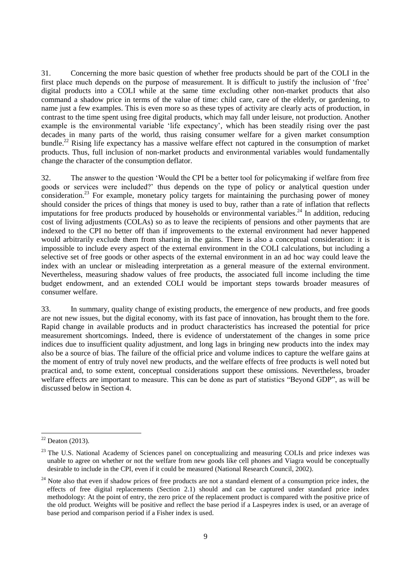31. Concerning the more basic question of whether free products should be part of the COLI in the first place much depends on the purpose of measurement. It is difficult to justify the inclusion of 'free' digital products into a COLI while at the same time excluding other non-market products that also command a shadow price in terms of the value of time: child care, care of the elderly, or gardening, to name just a few examples. This is even more so as these types of activity are clearly acts of production, in contrast to the time spent using free digital products, which may fall under leisure, not production. Another example is the environmental variable 'life expectancy', which has been steadily rising over the past decades in many parts of the world, thus raising consumer welfare for a given market consumption bundle.<sup>22</sup> Rising life expectancy has a massive welfare effect not captured in the consumption of market products. Thus, full inclusion of non-market products and environmental variables would fundamentally change the character of the consumption deflator.

32. The answer to the question 'Would the CPI be a better tool for policymaking if welfare from free goods or services were included?' thus depends on the type of policy or analytical question under consideration.<sup>23</sup> For example, monetary policy targets for maintaining the purchasing power of money should consider the prices of things that money is used to buy, rather than a rate of inflation that reflects imputations for free products produced by households or environmental variables.<sup>24</sup> In addition, reducing cost of living adjustments (COLAs) so as to leave the recipients of pensions and other payments that are indexed to the CPI no better off than if improvements to the external environment had never happened would arbitrarily exclude them from sharing in the gains. There is also a conceptual consideration: it is impossible to include every aspect of the external environment in the COLI calculations, but including a selective set of free goods or other aspects of the external environment in an ad hoc way could leave the index with an unclear or misleading interpretation as a general measure of the external environment. Nevertheless, measuring shadow values of free products, the associated full income including the time budget endowment, and an extended COLI would be important steps towards broader measures of consumer welfare.

33. In summary, quality change of existing products, the emergence of new products, and free goods are not new issues, but the digital economy, with its fast pace of innovation, has brought them to the fore. Rapid change in available products and in product characteristics has increased the potential for price measurement shortcomings. Indeed, there is evidence of understatement of the changes in some price indices due to insufficient quality adjustment, and long lags in bringing new products into the index may also be a source of bias. The failure of the official price and volume indices to capture the welfare gains at the moment of entry of truly novel new products, and the welfare effects of free products is well noted but practical and, to some extent, conceptual considerations support these omissions. Nevertheless, broader welfare effects are important to measure. This can be done as part of statistics "Beyond GDP", as will be discussed below in Section 4.

 $22$  Deaton (2013).

<sup>&</sup>lt;sup>23</sup> The U.S. National Academy of Sciences panel on conceptualizing and measuring COLIs and price indexes was unable to agree on whether or not the welfare from new goods like cell phones and Viagra would be conceptually desirable to include in the CPI, even if it could be measured (National Research Council, 2002).

 $^{24}$  Note also that even if shadow prices of free products are not a standard element of a consumption price index, the effects of free digital replacements (Section 2.1) should and can be captured under standard price index methodology: At the point of entry, the zero price of the replacement product is compared with the positive price of the old product. Weights will be positive and reflect the base period if a Laspeyres index is used, or an average of base period and comparison period if a Fisher index is used.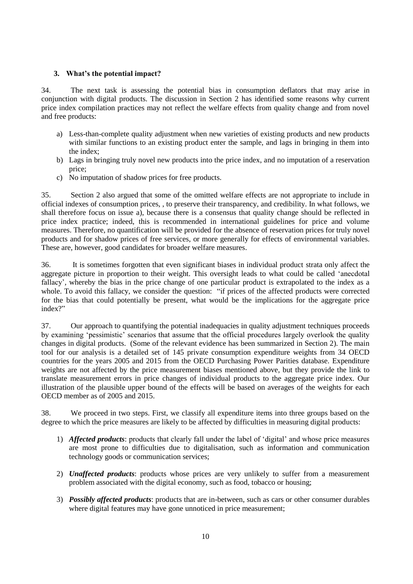### **3. What's the potential impact?**

34. The next task is assessing the potential bias in consumption deflators that may arise in conjunction with digital products. The discussion in Section 2 has identified some reasons why current price index compilation practices may not reflect the welfare effects from quality change and from novel and free products:

- a) Less-than-complete quality adjustment when new varieties of existing products and new products with similar functions to an existing product enter the sample, and lags in bringing in them into the index;
- b) Lags in bringing truly novel new products into the price index, and no imputation of a reservation price;
- c) No imputation of shadow prices for free products.

35. Section 2 also argued that some of the omitted welfare effects are not appropriate to include in official indexes of consumption prices, , to preserve their transparency, and credibility. In what follows, we shall therefore focus on issue a), because there is a consensus that quality change should be reflected in price index practice; indeed, this is recommended in international guidelines for price and volume measures. Therefore, no quantification will be provided for the absence of reservation prices for truly novel products and for shadow prices of free services, or more generally for effects of environmental variables. These are, however, good candidates for broader welfare measures.

36. It is sometimes forgotten that even significant biases in individual product strata only affect the aggregate picture in proportion to their weight. This oversight leads to what could be called 'anecdotal fallacy'*,* whereby the bias in the price change of one particular product is extrapolated to the index as a whole. To avoid this fallacy, we consider the question: "if prices of the affected products were corrected for the bias that could potentially be present, what would be the implications for the aggregate price index?"

37. Our approach to quantifying the potential inadequacies in quality adjustment techniques proceeds by examining 'pessimistic' scenarios that assume that the official procedures largely overlook the quality changes in digital products. (Some of the relevant evidence has been summarized in Section 2). The main tool for our analysis is a detailed set of 145 private consumption expenditure weights from 34 OECD countries for the years 2005 and 2015 from the OECD Purchasing Power Parities database. Expenditure weights are not affected by the price measurement biases mentioned above, but they provide the link to translate measurement errors in price changes of individual products to the aggregate price index. Our illustration of the plausible upper bound of the effects will be based on averages of the weights for each OECD member as of 2005 and 2015.

38. We proceed in two steps. First, we classify all expenditure items into three groups based on the degree to which the price measures are likely to be affected by difficulties in measuring digital products:

- 1) *Affected products*: products that clearly fall under the label of 'digital' and whose price measures are most prone to difficulties due to digitalisation, such as information and communication technology goods or communication services;
- 2) *Unaffected products*: products whose prices are very unlikely to suffer from a measurement problem associated with the digital economy, such as food, tobacco or housing;
- 3) *Possibly affected products*: products that are in-between, such as cars or other consumer durables where digital features may have gone unnoticed in price measurement: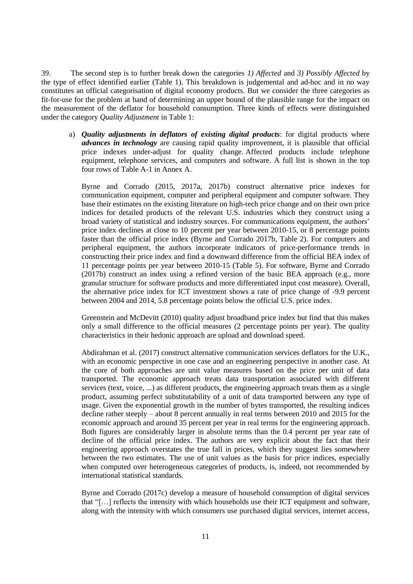39. The second step is to further break down the categories *1) Affected* and *3) Possibly Affected* by the type of effect identified earlier (Table 1). This breakdown is judgemental and ad-hoc and in no way constitutes an official categorisation of digital economy products. But we consider the three categories as fit-for-use for the problem at hand of determining an upper bound of the plausible range for the impact on the measurement of the deflator for household consumption. Three kinds of effects were distinguished under the category *Quality Adjustment* in Table 1:

a) *Quality adjustments in deflators of existing digital products*: for digital products where *advances in technology* are causing rapid quality improvement, it is plausible that official price indexes under-adjust for quality change. Affected products include telephone equipment, telephone services, and computers and software. A full list is shown in the top four rows of Table A-1 in Annex A.

Byrne and Corrado (2015, 2017a, 2017b) construct alternative price indexes for communication equipment, computer and peripheral equipment and computer software. They base their estimates on the existing literature on high-tech price change and on their own price indices for detailed products of the relevant U.S. industries which they construct using a broad variety of statistical and industry sources. For communications equipment, the authors' price index declines at close to 10 percent per year between 2010-15, or 8 percentage points faster than the official price index (Byrne and Corrado 2017b, Table 2). For computers and peripheral equipment, the authors incorporate indicators of price-performance trends in constructing their price index and find a downward difference from the official BEA index of 11 percentage points per year between 2010-15 (Table 5). For software, Byrne and Corrado (2017b) construct an index using a refined version of the basic BEA approach (e.g., more granular structure for software products and more differentiated input cost measure). Overall, the alternative price index for ICT investment shows a rate of price change of -9.9 percent between 2004 and 2014, 5.8 percentage points below the official U.S. price index.

Greenstein and McDevitt (2010) quality adjust broadband price index but find that this makes only a small difference to the official measures (2 percentage points per year). The quality characteristics in their hedonic approach are upload and download speed.

Abdirahman et al. (2017) construct alternative communication services deflators for the U.K., with an economic perspective in one case and an engineering perspective in another case. At the core of both approaches are unit value measures based on the price per unit of data transported. The economic approach treats data transportation associated with different services (text, voice, ...) as different products, the engineering approach treats them as a single product, assuming perfect substitutability of a unit of data transported between any type of usage. Given the exponential growth in the number of bytes transported, the resulting indices decline rather steeply – about 8 percent annually in real terms between 2010 and 2015 for the economic approach and around 35 percent per year in real terms for the engineering approach. Both figures are considerably larger in absolute terms than the 0.4 percent per year rate of decline of the official price index. The authors are very explicit about the fact that their engineering approach overstates the true fall in prices, which they suggest lies somewhere between the two estimates. The use of unit values as the basis for price indices, especially when computed over heterogeneous categories of products, is, indeed, not recommended by international statistical standards.

Byrne and Corrado (2017c) develop a measure of household consumption of digital services that "[…] reflects the intensity with which households use their ICT equipment and software, along with the intensity with which consumers use purchased digital services, internet access,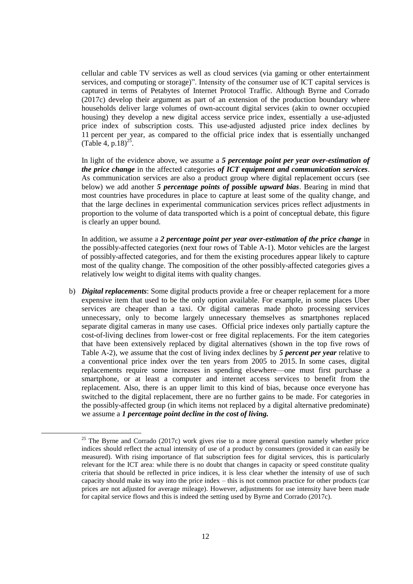cellular and cable TV services as well as cloud services (via gaming or other entertainment services, and computing or storage)". Intensity of the consumer use of ICT capital services is captured in terms of Petabytes of Internet Protocol Traffic. Although Byrne and Corrado (2017c) develop their argument as part of an extension of the production boundary where households deliver large volumes of own-account digital services (akin to owner occupied housing) they develop a new digital access service price index, essentially a use-adjusted price index of subscription costs. This use-adjusted adjusted price index declines by 11 percent per year, as compared to the official price index that is essentially unchanged (Table 4, p.18)<sup>25</sup>.

In light of the evidence above, we assume a *5 percentage point per year over-estimation of the price change* in the affected categories *of ICT equipment and communication services*. As communication services are also a product group where digital replacement occurs (see below) we add another *5 percentage points of possible upward bias*. Bearing in mind that most countries have procedures in place to capture at least some of the quality change, and that the large declines in experimental communication services prices reflect adjustments in proportion to the volume of data transported which is a point of conceptual debate, this figure is clearly an upper bound.

In addition, we assume a *2 percentage point per year over-estimation of the price change* in the possibly-affected categories (next four rows of Table A-1). Motor vehicles are the largest of possibly-affected categories, and for them the existing procedures appear likely to capture most of the quality change. The composition of the other possibly-affected categories gives a relatively low weight to digital items with quality changes.

b) *Digital replacements*: Some digital products provide a free or cheaper replacement for a more expensive item that used to be the only option available. For example, in some places Uber services are cheaper than a taxi. Or digital cameras made photo processing services unnecessary, only to become largely unnecessary themselves as smartphones replaced separate digital cameras in many use cases. Official price indexes only partially capture the cost-of-living declines from lower-cost or free digital replacements. For the item categories that have been extensively replaced by digital alternatives (shown in the top five rows of Table A-2), we assume that the cost of living index declines by *5 percent per year* relative to a conventional price index over the ten years from 2005 to 2015. In some cases, digital replacements require some increases in spending elsewhere—one must first purchase a smartphone, or at least a computer and internet access services to benefit from the replacement. Also, there is an upper limit to this kind of bias, because once everyone has switched to the digital replacement, there are no further gains to be made. For categories in the possibly-affected group (in which items not replaced by a digital alternative predominate) we assume a *1 percentage point decline in the cost of living.*

 $25$  The Byrne and Corrado (2017c) work gives rise to a more general question namely whether price indices should reflect the actual intensity of use of a product by consumers (provided it can easily be measured). With rising importance of flat subscription fees for digital services, this is particularly relevant for the ICT area: while there is no doubt that changes in capacity or speed constitute quality criteria that should be reflected in price indices, it is less clear whether the intensity of use of such capacity should make its way into the price index – this is not common practice for other products (car prices are not adjusted for average mileage). However, adjustments for use intensity have been made for capital service flows and this is indeed the setting used by Byrne and Corrado (2017c).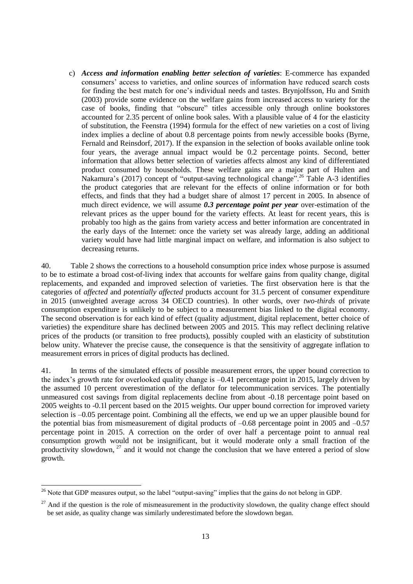c) *Access and information enabling better selection of varieties*: E-commerce has expanded consumers' access to varieties, and online sources of information have reduced search costs for finding the best match for one's individual needs and tastes. Brynjolfsson, Hu and Smith (2003) provide some evidence on the welfare gains from increased access to variety for the case of books, finding that "obscure" titles accessible only through online bookstores accounted for 2.35 percent of online book sales. With a plausible value of 4 for the elasticity of substitution, the Feenstra (1994) formula for the effect of new varieties on a cost of living index implies a decline of about 0.8 percentage points from newly accessible books (Byrne, Fernald and Reinsdorf, 2017). If the expansion in the selection of books available online took four years, the average annual impact would be 0.2 percentage points. Second, better information that allows better selection of varieties affects almost any kind of differentiated product consumed by households. These welfare gains are a major part of Hulten and Nakamura's (2017) concept of "output-saving technological change".<sup>26</sup> Table A-3 identifies the product categories that are relevant for the effects of online information or for both effects, and finds that they had a budget share of almost 17 percent in 2005. In absence of much direct evidence, we will assume 0.3 percentage point per year over-estimation of the relevant prices as the upper bound for the variety effects. At least for recent years, this is probably too high as the gains from variety access and better information are concentrated in the early days of the Internet: once the variety set was already large, adding an additional variety would have had little marginal impact on welfare, and information is also subject to decreasing returns.

40. Table 2 shows the corrections to a household consumption price index whose purpose is assumed to be to estimate a broad cost-of-living index that accounts for welfare gains from quality change, digital replacements, and expanded and improved selection of varieties. The first observation here is that the categories of *affected* and *potentially affected* products account for 31.5 percent of consumer expenditure in 2015 (unweighted average across 34 OECD countries). In other words, over *two-thirds* of private consumption expenditure is unlikely to be subject to a measurement bias linked to the digital economy. The second observation is for each kind of effect (quality adjustment, digital replacement, better choice of varieties) the expenditure share has declined between 2005 and 2015. This may reflect declining relative prices of the products (or transition to free products), possibly coupled with an elasticity of substitution below unity. Whatever the precise cause, the consequence is that the sensitivity of aggregate inflation to measurement errors in prices of digital products has declined.

41. In terms of the simulated effects of possible measurement errors, the upper bound correction to the index's growth rate for overlooked quality change is –0.41 percentage point in 2015, largely driven by the assumed 10 percent overestimation of the deflator for telecommunication services. The potentially unmeasured cost savings from digital replacements decline from about -0.18 percentage point based on 2005 weights to -0.1l percent based on the 2015 weights. Our upper bound correction for improved variety selection is –0.05 percentage point. Combining all the effects, we end up we an upper plausible bound for the potential bias from mismeasurement of digital products of  $-0.68$  percentage point in 2005 and  $-0.57$ percentage point in 2015. A correction on the order of over half a percentage point to annual real consumption growth would not be insignificant, but it would moderate only a small fraction of the productivity slowdown,  $27$  and it would not change the conclusion that we have entered a period of slow growth.

 $26$  Note that GDP measures output, so the label "output-saving" implies that the gains do not belong in GDP.

 $27$  And if the question is the role of mismeasurement in the productivity slowdown, the quality change effect should be set aside, as quality change was similarly underestimated before the slowdown began.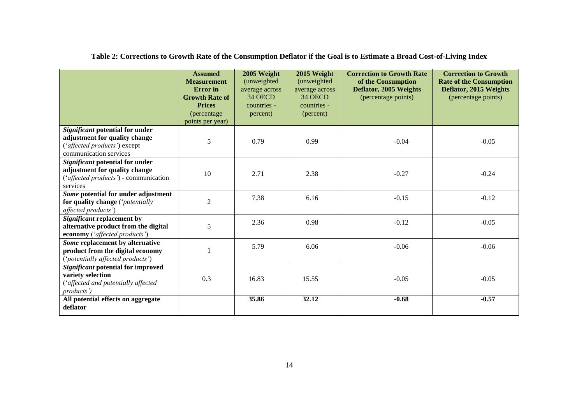|                                                                                                                                   | <b>Assumed</b><br><b>Measurement</b><br><b>Error</b> in<br><b>Growth Rate of</b><br><b>Prices</b><br>(percentage<br>points per year) | 2005 Weight<br>(unweighted<br>average across<br>34 OECD<br>countries -<br>percent) | 2015 Weight<br>(unweighted<br>average across<br>34 OECD<br>countries -<br>(percent) | <b>Correction to Growth Rate</b><br>of the Consumption<br>Deflator, 2005 Weights<br>(percentage points) | <b>Correction to Growth</b><br><b>Rate of the Consumption</b><br>Deflator, 2015 Weights<br>(percentage points) |
|-----------------------------------------------------------------------------------------------------------------------------------|--------------------------------------------------------------------------------------------------------------------------------------|------------------------------------------------------------------------------------|-------------------------------------------------------------------------------------|---------------------------------------------------------------------------------------------------------|----------------------------------------------------------------------------------------------------------------|
| Significant potential for under<br>adjustment for quality change<br><i>('affected products')</i> except<br>communication services | 5                                                                                                                                    | 0.79                                                                               | 0.99                                                                                | $-0.04$                                                                                                 | $-0.05$                                                                                                        |
| Significant potential for under<br>adjustment for quality change<br>" <i>affected products</i> ") - communication<br>services     | 10                                                                                                                                   | 2.71                                                                               | 2.38                                                                                | $-0.27$                                                                                                 | $-0.24$                                                                                                        |
| Some potential for under adjustment<br>for quality change ('potentially<br>affected products')                                    | $\overline{2}$                                                                                                                       | 7.38                                                                               | 6.16                                                                                | $-0.15$                                                                                                 | $-0.12$                                                                                                        |
| Significant replacement by<br>alternative product from the digital<br>economy ('affected products')                               | 5                                                                                                                                    | 2.36                                                                               | 0.98                                                                                | $-0.12$                                                                                                 | $-0.05$                                                                                                        |
| Some replacement by alternative<br>product from the digital economy<br>('potentially affected products')                          |                                                                                                                                      | 5.79                                                                               | 6.06                                                                                | $-0.06$                                                                                                 | $-0.06$                                                                                                        |
| Significant potential for improved<br>variety selection<br>('affected and potentially affected<br><i>products')</i>               | 0.3                                                                                                                                  | 16.83                                                                              | 15.55                                                                               | $-0.05$                                                                                                 | $-0.05$                                                                                                        |
| All potential effects on aggregate<br>deflator                                                                                    |                                                                                                                                      | 35.86                                                                              | 32.12                                                                               | $-0.68$                                                                                                 | $-0.57$                                                                                                        |

# **Table 2: Corrections to Growth Rate of the Consumption Deflator if the Goal is to Estimate a Broad Cost-of-Living Index**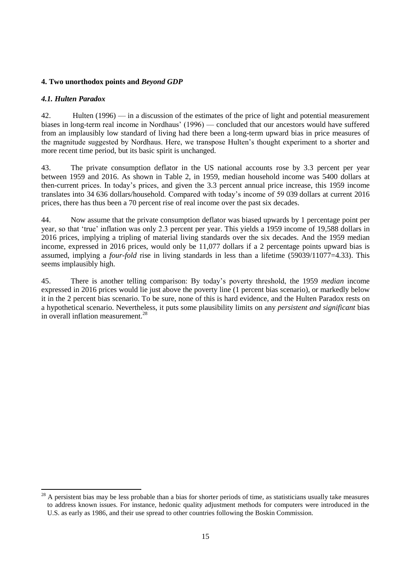#### **4. Two unorthodox points and** *Beyond GDP*

### *4.1. Hulten Paradox*

42. Hulten (1996) — in a discussion of the estimates of the price of light and potential measurement biases in long-term real income in Nordhaus' (1996) — concluded that our ancestors would have suffered from an implausibly low standard of living had there been a long-term upward bias in price measures of the magnitude suggested by Nordhaus. Here, we transpose Hulten's thought experiment to a shorter and more recent time period, but its basic spirit is unchanged.

43. The private consumption deflator in the US national accounts rose by 3.3 percent per year between 1959 and 2016. As shown in Table 2, in 1959, median household income was 5400 dollars at then-current prices. In today's prices, and given the 3.3 percent annual price increase, this 1959 income translates into 34 636 dollars/household. Compared with today's income of 59 039 dollars at current 2016 prices, there has thus been a 70 percent rise of real income over the past six decades.

44. Now assume that the private consumption deflator was biased upwards by 1 percentage point per year, so that 'true' inflation was only 2.3 percent per year. This yields a 1959 income of 19,588 dollars in 2016 prices, implying a tripling of material living standards over the six decades. And the 1959 median income, expressed in 2016 prices, would only be 11,077 dollars if a 2 percentage points upward bias is assumed, implying a *four-fold* rise in living standards in less than a lifetime (59039/11077=4.33). This seems implausibly high.

45. There is another telling comparison: By today's poverty threshold, the 1959 *median* income expressed in 2016 prices would lie just above the poverty line (1 percent bias scenario), or markedly below it in the 2 percent bias scenario. To be sure, none of this is hard evidence, and the Hulten Paradox rests on a hypothetical scenario. Nevertheless, it puts some plausibility limits on any *persistent and significant* bias in overall inflation measurement.<sup>28</sup>

 $^{28}$  A persistent bias may be less probable than a bias for shorter periods of time, as statisticians usually take measures to address known issues. For instance, hedonic quality adjustment methods for computers were introduced in the U.S. as early as 1986, and their use spread to other countries following the Boskin Commission.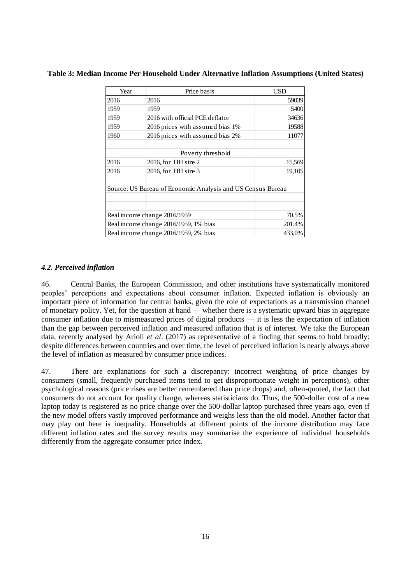| Year                                                        | Price basis                           | <b>USD</b> |  |
|-------------------------------------------------------------|---------------------------------------|------------|--|
| 2016                                                        | 2016                                  | 59039      |  |
| 1959                                                        | 1959                                  | 5400       |  |
| 1959                                                        | 2016 with official PCE deflator       | 34636      |  |
| 1959                                                        | 2016 prices with assumed bias 1%      | 19588      |  |
| 1960                                                        | 2016 prices with assumed bias 2%      | 11077      |  |
| Poverty threshold                                           |                                       |            |  |
| 2016                                                        | $2016$ , for HH size 2                | 15,569     |  |
| 2016                                                        | $2016$ , for HH size $3$              | 19,105     |  |
| Source: US Bureau of Economic Analysis and US Census Bureau |                                       |            |  |
|                                                             | Real income change 2016/1959          | 70.5%      |  |
| Real income change 2016/1959, 1% bias                       |                                       | 201.4%     |  |
|                                                             | Real income change 2016/1959, 2% bias | 433.0%     |  |

**Table 3: Median Income Per Household Under Alternative Inflation Assumptions (United States)**

#### *4.2. Perceived inflation*

46. Central Banks, the European Commission, and other institutions have systematically monitored peoples' perceptions and expectations about consumer inflation. Expected inflation is obviously an important piece of information for central banks, given the role of expectations as a transmission channel of monetary policy. Yet, for the question at hand — whether there is a systematic upward bias in aggregate consumer inflation due to mismeasured prices of digital products — it is less the expectation of inflation than the gap between perceived inflation and measured inflation that is of interest. We take the European data, recently analysed by Arioli *et al*. (2017) as representative of a finding that seems to hold broadly: despite differences between countries and over time, the level of perceived inflation is nearly always above the level of inflation as measured by consumer price indices.

47. There are explanations for such a discrepancy: incorrect weighting of price changes by consumers (small, frequently purchased items tend to get disproportionate weight in perceptions), other psychological reasons (price rises are better remembered than price drops) and, often-quoted, the fact that consumers do not account for quality change, whereas statisticians do. Thus, the 500-dollar cost of a new laptop today is registered as no price change over the 500-dollar laptop purchased three years ago, even if the new model offers vastly improved performance and weighs less than the old model. Another factor that may play out here is inequality. Households at different points of the income distribution may face different inflation rates and the survey results may summarise the experience of individual households differently from the aggregate consumer price index.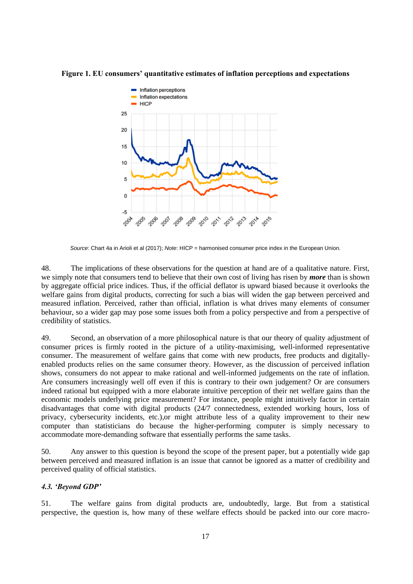

#### **Figure 1. EU consumers' quantitative estimates of inflation perceptions and expectations**

*Source*: Chart 4a in Arioli et al (2017); *Note*: HICP = harmonised consumer price index in the European Union.

48. The implications of these observations for the question at hand are of a qualitative nature. First, we simply note that consumers tend to believe that their own cost of living has risen by *more* than is shown by aggregate official price indices. Thus, if the official deflator is upward biased because it overlooks the welfare gains from digital products, correcting for such a bias will widen the gap between perceived and measured inflation. Perceived, rather than official, inflation is what drives many elements of consumer behaviour, so a wider gap may pose some issues both from a policy perspective and from a perspective of credibility of statistics.

49. Second, an observation of a more philosophical nature is that our theory of quality adjustment of consumer prices is firmly rooted in the picture of a utility-maximising, well-informed representative consumer. The measurement of welfare gains that come with new products, free products and digitallyenabled products relies on the same consumer theory. However, as the discussion of perceived inflation shows, consumers do not appear to make rational and well-informed judgements on the rate of inflation. Are consumers increasingly well off even if this is contrary to their own judgement? Or are consumers indeed rational but equipped with a more elaborate intuitive perception of their net welfare gains than the economic models underlying price measurement? For instance, people might intuitively factor in certain disadvantages that come with digital products (24/7 connectedness, extended working hours, loss of privacy, cybersecurity incidents, etc.),or might attribute less of a quality improvement to their new computer than statisticians do because the higher-performing computer is simply necessary to accommodate more-demanding software that essentially performs the same tasks.

50. Any answer to this question is beyond the scope of the present paper, but a potentially wide gap between perceived and measured inflation is an issue that cannot be ignored as a matter of credibility and perceived quality of official statistics.

#### *4.3. 'Beyond GDP'*

51. The welfare gains from digital products are, undoubtedly, large. But from a statistical perspective, the question is, how many of these welfare effects should be packed into our core macro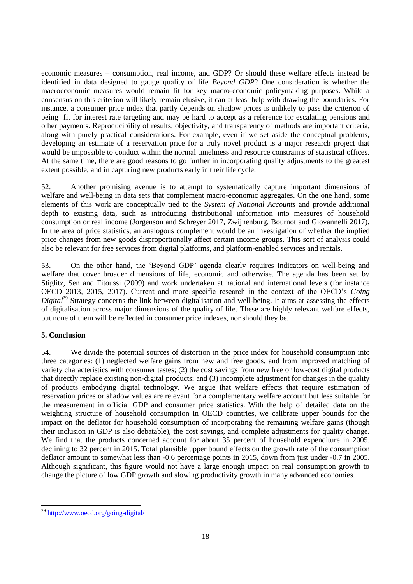economic measures – consumption, real income, and GDP? Or should these welfare effects instead be identified in data designed to gauge quality of life *Beyond GDP*? One consideration is whether the macroeconomic measures would remain fit for key macro-economic policymaking purposes. While a consensus on this criterion will likely remain elusive, it can at least help with drawing the boundaries. For instance, a consumer price index that partly depends on shadow prices is unlikely to pass the criterion of being fit for interest rate targeting and may be hard to accept as a reference for escalating pensions and other payments. Reproducibility of results, objectivity, and transparency of methods are important criteria, along with purely practical considerations. For example, even if we set aside the conceptual problems, developing an estimate of a reservation price for a truly novel product is a major research project that would be impossible to conduct within the normal timeliness and resource constraints of statistical offices. At the same time, there are good reasons to go further in incorporating quality adjustments to the greatest extent possible, and in capturing new products early in their life cycle.

52. Another promising avenue is to attempt to systematically capture important dimensions of welfare and well-being in data sets that complement macro-economic aggregates. On the one hand, some elements of this work are conceptually tied to the *System of National Accounts* and provide additional depth to existing data, such as introducing distributional information into measures of household consumption or real income (Jorgenson and Schreyer 2017, Zwijnenburg, Bournot and Giovannelli 2017). In the area of price statistics, an analogous complement would be an investigation of whether the implied price changes from new goods disproportionally affect certain income groups. This sort of analysis could also be relevant for free services from digital platforms, and platform-enabled services and rentals.

53. On the other hand, the 'Beyond GDP' agenda clearly requires indicators on well-being and welfare that cover broader dimensions of life, economic and otherwise. The agenda has been set by Stiglitz, Sen and Fitoussi (2009) and work undertaken at national and international levels (for instance OECD 2013, 2015, 2017). Current and more specific research in the context of the OECD's *Going Digital*<sup>29</sup> Strategy concerns the link between digitalisation and well-being. It aims at assessing the effects of digitalisation across major dimensions of the quality of life. These are highly relevant welfare effects, but none of them will be reflected in consumer price indexes, nor should they be.

# **5. Conclusion**

54. We divide the potential sources of distortion in the price index for household consumption into three categories: (1) neglected welfare gains from new and free goods, and from improved matching of variety characteristics with consumer tastes; (2) the cost savings from new free or low-cost digital products that directly replace existing non-digital products; and (3) incomplete adjustment for changes in the quality of products embodying digital technology. We argue that welfare effects that require estimation of reservation prices or shadow values are relevant for a complementary welfare account but less suitable for the measurement in official GDP and consumer price statistics. With the help of detailed data on the weighting structure of household consumption in OECD countries, we calibrate upper bounds for the impact on the deflator for household consumption of incorporating the remaining welfare gains (though their inclusion in GDP is also debatable), the cost savings, and complete adjustments for quality change. We find that the products concerned account for about 35 percent of household expenditure in 2005, declining to 32 percent in 2015. Total plausible upper bound effects on the growth rate of the consumption deflator amount to somewhat less than -0.6 percentage points in 2015, down from just under -0.7 in 2005. Although significant, this figure would not have a large enough impact on real consumption growth to change the picture of low GDP growth and slowing productivity growth in many advanced economies.

 $\overline{a}$ 

<sup>29</sup> <http://www.oecd.org/going-digital/>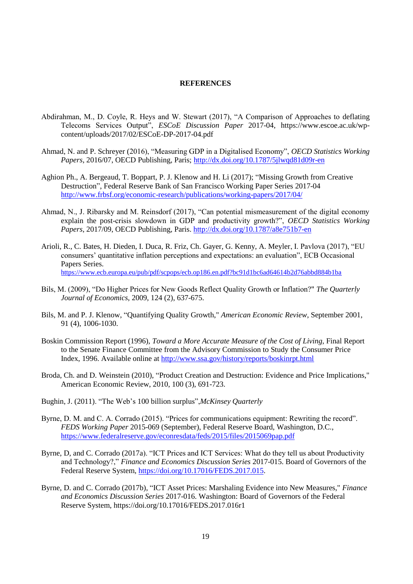#### **REFERENCES**

- Abdirahman, M., D. Coyle, R. Heys and W. Stewart (2017), "A Comparison of Approaches to deflating Telecoms Services Output", *ESCoE Discussion Paper* 2017-04, [https://www.escoe.ac.uk/wp](https://www.escoe.ac.uk/wp-content/uploads/2017/02/ESCoE-DP-2017-04.pdf)[content/uploads/2017/02/ESCoE-DP-2017-04.pdf](https://www.escoe.ac.uk/wp-content/uploads/2017/02/ESCoE-DP-2017-04.pdf)
- Ahmad, N. and P. Schreyer (2016), "Measuring GDP in a Digitalised Economy", *OECD Statistics Working Papers*, 2016/07, OECD Publishing, Paris;<http://dx.doi.org/10.1787/5jlwqd81d09r-en>
- Aghion Ph., A. Bergeaud, T. Boppart, P. J. Klenow and H. Li (2017); "Missing Growth from Creative Destruction", Federal Reserve Bank of San Francisco Working Paper Series 2017-04 <http://www.frbsf.org/economic-research/publications/working-papers/2017/04/>
- Ahmad, N., J. Ribarsky and M. Reinsdorf (2017), "Can potential mismeasurement of the digital economy explain the post-crisis slowdown in GDP and productivity growth?", *OECD Statistics Working Papers*, 2017/09, OECD Publishing, Paris.<http://dx.doi.org/10.1787/a8e751b7-en>
- Arioli, R., C. Bates, H. Dieden, I. Duca, R. Friz, Ch. Gayer, G. Kenny, A. Meyler, I. Pavlova (2017), "EU consumers' quantitative inflation perceptions and expectations: an evaluation", ECB Occasional Papers Series. <https://www.ecb.europa.eu/pub/pdf/scpops/ecb.op186.en.pdf?bc91d1bc6ad64614b2d76abbd884b1ba>
- Bils, M. (2009), "Do Higher Prices for New Goods Reflect Quality Growth or Inflation?" *The Quarterly Journal of Economics*, 2009, 124 (2), 637-675.
- Bils, M. and P. J. Klenow, "Quantifying Quality Growth," *American Economic Review*, September 2001, 91 (4), 1006-1030.
- Boskin Commission Report (1996), *Toward a More Accurate Measure of the Cost of Living*, Final Report to the Senate Finance Committee from the Advisory Commission to Study the Consumer Price Index, 1996. Available online at<http://www.ssa.gov/history/reports/boskinrpt.html>
- Broda, Ch. and D. Weinstein (2010), "Product Creation and Destruction: Evidence and Price Implications," American Economic Review, 2010, 100 (3), 691-723.
- Bughin, J. (2011). "The Web's 100 billion surplus",*McKinsey Quarterly*
- Byrne, D. M. and C. A. Corrado (2015). "Prices for communications equipment: Rewriting the record". *FEDS Working Paper* 2015-069 (September), Federal Reserve Board, Washington, D.C., <https://www.federalreserve.gov/econresdata/feds/2015/files/2015069pap.pdf>
- Byrne, D, and C. Corrado (2017a). "ICT Prices and ICT Services: What do they tell us about Productivity and Technology?," *Finance and Economics Discussion Series* 2017-015. Board of Governors of the Federal Reserve System, [https://doi.org/10.17016/FEDS.2017.015.](https://doi.org/10.17016/FEDS.2017.015)
- Byrne, D. and C. Corrado (2017b), "ICT Asset Prices: Marshaling Evidence into New Measures," *Finance and Economics Discussion Series* 2017-016. Washington: Board of Governors of the Federal Reserve System, https://doi.org/10.17016/FEDS.2017.016r1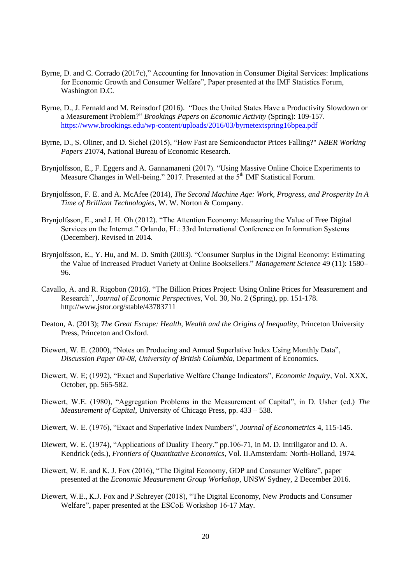- Byrne, D. and C. Corrado (2017c)," Accounting for Innovation in Consumer Digital Services: Implications for Economic Growth and Consumer Welfare", Paper presented at the IMF Statistics Forum, Washington D.C.
- Byrne, D., J. Fernald and M. Reinsdorf (2016). "Does the United States Have a Productivity Slowdown or a Measurement Problem?" *Brookings Papers on Economic Activity* (Spring): 109-157. https://www.brookings.edu/wp-content/uploads/2016/03/byrnetextspring16bpea.pdf
- Byrne, D., S. Oliner, and D. Sichel (2015), "How Fast are Semiconductor Prices Falling?" *NBER Working Papers* 21074, National Bureau of Economic Research.
- Brynjolfsson, E., F. Eggers and A. Gannamaneni (2017). "Using Massive Online Choice Experiments to Measure Changes in Well-being." 2017. Presented at the  $5<sup>th</sup>$  IMF Statistical Forum.
- Brynjolfsson, F. E. and A. McAfee (2014), *The Second Machine Age: Work, Progress, and Prosperity In A Time of Brilliant Technologies,* W. W. Norton & Company.
- Brynjolfsson, E., and J. H. Oh (2012). "The Attention Economy: Measuring the Value of Free Digital Services on the Internet." Orlando, FL: 33rd International Conference on Information Systems (December). Revised in 2014.
- Brynjolfsson, E., Y. Hu, and M. D. Smith (2003). "Consumer Surplus in the Digital Economy: Estimating the Value of Increased Product Variety at Online Booksellers." *Management Science* 49 (11): 1580– 96.
- Cavallo, A. and R. Rigobon (2016). "The Billion Prices Project: Using Online Prices for Measurement and Research", *Journal of Economic Perspectives*, Vol. 30, No. 2 (Spring), pp. 151-178. http://www.jstor.org/stable/43783711
- Deaton, A. (2013); *The Great Escape: Health, Wealth and the Origins of Inequality*, Princeton University Press, Princeton and Oxford.
- Diewert, W. E. (2000), "Notes on Producing and Annual Superlative Index Using Monthly Data", *Discussion Paper 00-08, University of British Columbia*, Department of Economics.
- Diewert, W. E; (1992), "Exact and Superlative Welfare Change Indicators", *Economic Inquiry*, Vol. XXX, October, pp. 565-582.
- Diewert, W.E. (1980), "Aggregation Problems in the Measurement of Capital", in D. Usher (ed.) *The Measurement of Capital*, University of Chicago Press, pp. 433 – 538.
- Diewert, W. E. (1976), "Exact and Superlative Index Numbers", *Journal of Econometrics* 4, 115-145.
- Diewert, W. E. (1974), "Applications of Duality Theory." pp.106-71, in M. D. Intriligator and D. A. Kendrick (eds.), *Frontiers of Quantitative Economics*, Vol. II.Amsterdam: North-Holland, 1974.
- Diewert, W. E. and K. J. Fox (2016), "The Digital Economy, GDP and Consumer Welfare", paper presented at the *Economic Measurement Group Workshop*, UNSW Sydney, 2 December 2016.
- Diewert, W.E., K.J. Fox and P.Schreyer (2018), "The Digital Economy, New Products and Consumer Welfare", paper presented at the ESCoE Workshop 16-17 May.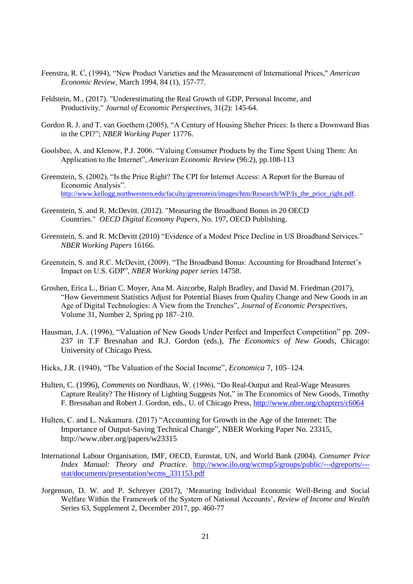- Feenstra, R. C, (1994), "New Product Varieties and the Measurement of International Prices," *American Economic Review*, March 1994, 84 (1), 157-77.
- Feldstein, M., (2017). "Underestimating the Real Growth of GDP, Personal Income, and Productivity." *Journal of Economic Perspectives*, 31(2): 145-64.
- Gordon R. J. and T. van Goethem (2005), "A Century of Housing Shelter Prices: Is there a Downward Bias in the CPI?"; *NBER Working Paper* 11776.
- Goolsbee, A. and Klenow, P.J. 2006. "Valuing Consumer Products by the Time Spent Using Them: An Application to the Internet", *American Economic Review* (96:2), pp.108-113
- Greenstein, S. (2002), "Is the Price Right? The CPI for Internet Access: A Report for the Bureau of Economic Analysis". [http://www.kellogg.northwestern.edu/faculty/greenstein/images/htm/Research/WP/Is\\_the\\_price\\_right.pdf.](http://www.kellogg.northwestern.edu/faculty/greenstein/images/htm/Research/WP/Is_the_price_right.pdf)
- Greenstein, S. and R. McDevitt. (2012). ["Measuring the Broadband Bonus in 20 OECD](http://www.hbs.edu/faculty/product/50789)  [Countries."](http://www.hbs.edu/faculty/product/50789) *OECD Digital Economy Papers*, No. 197, OECD Publishing.
- Greenstein, S. and R. McDevitt (2010) "Evidence of a Modest Price Decline in US Broadband Services." *NBER Working Papers* 16166.
- Greenstein, S. and R.C. McDevitt, (2009). "The Broadband Bonus: Accounting for Broadband Internet's Impact on U.S. GDP", *NBER Working paper series* 14758.
- Groshen, Erica L., Brian C. Moyer, Ana M. Aizcorbe, Ralph Bradley, and David M. Friedman (2017), "How Government Statistics Adjust for Potential Biases from Quality Change and New Goods in an Age of Digital Technologies: A View from the Trenches", *Journal of Economic Perspectives*, Volume 31, Number 2, Spring pp 187–210.
- Hausman, J.A. (1996), "Valuation of New Goods Under Perfect and Imperfect Competition" pp. 209- 237 in T.F Bresnahan and R.J. Gordon (eds.), *The Economics of New Goods*, Chicago: University of Chicago Press.
- Hicks, J.R. (1940), "The Valuation of the Social Income", *Economica* 7, 105–124.
- Hulten, C. (1996), *Comments* on Nordhaus, W. (1996), "Do Real-Output and Real-Wage Measures Capture Reality? The History of Lighting Suggests Not," in The Economics of New Goods, Timothy F. Bresnahan and Robert J. Gordon, eds., U. of Chicago Press,<http://www.nber.org/chapters/c6064>
- Hulten, C. and L. Nakamura. (2017) "Accounting for Growth in the Age of the Internet: The Importance of Output-Saving Technical Change", NBER Working Paper No. 23315, http://www.nber.org/papers/w23315
- International Labour Organisation, IMF, OECD, Eurostat, UN, and World Bank (2004). *Consumer Price Index Manual: Theory and Practice*. [http://www.ilo.org/wcmsp5/groups/public/---dgreports/--](http://www.ilo.org/wcmsp5/groups/public/---dgreports/---stat/documents/presentation/wcms_331153.pdf) [stat/documents/presentation/wcms\\_331153.pdf](http://www.ilo.org/wcmsp5/groups/public/---dgreports/---stat/documents/presentation/wcms_331153.pdf)
- Jorgenson, D. W. and P. Schreyer (2017), 'Measuring Individual Economic Well-Being and Social Welfare Within the Framework of the System of National Accounts', *Review of Income and Wealth* Series 63, Supplement 2, December 2017, pp. 460-77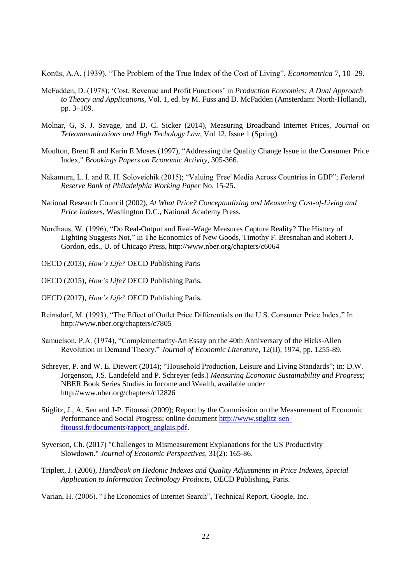Konüs, A.A. (1939), "The Problem of the True Index of the Cost of Living", *Econometrica* 7, 10–29.

- McFadden, D. (1978); 'Cost, Revenue and Profit Functions' in *Production Economics: A Dual Approach to Theory and Applications*, Vol. 1, ed. by M. Fuss and D. McFadden (Amsterdam: North-Holland), pp. 3–109.
- Molnar, G, S. J. Savage, and D. C. Sicker (2014), Measuring Broadband Internet Prices, *Journal on Teleommunications and High Techology Law*, Vol 12, Issue 1 (Spring)
- Moulton, Brent R and Karin E Moses (1997), "Addressing the Quality Change Issue in the Consumer Price Index," *Brookings Papers on Economic Activity*, 305-366.
- Nakamura, L. I. and R. H. Soloveichik (2015); "Valuing 'Free' Media Across Countries in GDP"; *[Federal](http://papers.ssrn.com/sol3/papers.cfm?abstract_id=2631621##)  [Reserve Bank of Philadelphia Working Paper](http://papers.ssrn.com/sol3/papers.cfm?abstract_id=2631621##)* No. 15-25.
- National Research Council (2002), *At What Price? Conceptualizing and Measuring Cost-of-Living and Price Indexes*, Washington D.C., National Academy Press.
- Nordhaus, W. (1996), "Do Real-Output and Real-Wage Measures Capture Reality? The History of Lighting Suggests Not," in The Economics of New Goods, Timothy F. Bresnahan and Robert J. Gordon, eds., U. of Chicago Press, http://www.nber.org/chapters/c6064

OECD (2013), *How's Life?* OECD Publishing Paris

OECD (2015), *How's Life?* OECD Publishing Paris.

- OECD (2017), *How's Life?* OECD Publishing Paris.
- Reinsdorf, M. (1993), "The Effect of Outlet Price Differentials on the U.S. Consumer Price Index." In http://www.nber.org/chapters/c7805
- Samuelson, P.A. (1974), "Complementarity-An Essay on the 40th Anniversary of the Hicks-Allen Revolution in Demand Theory." *Journal of Economic Literature*, 12(II), 1974, pp. 1255-89.
- Schreyer, P. and W. E. Diewert (2014); "Household Production, Leisure and Living Standards"; in: D.W. Jorgenson, J.S. Landefeld and P. Schreyer (eds.) *Measuring Economic Sustainability and Progress*; NBER Book Series Studies in Income and Wealth, available under <http://www.nber.org/chapters/c12826>
- Stiglitz, J., A. Sen and J-P. Fitoussi (2009); Report by the Commission on the Measurement of Economic Performance and Social Progress; online document [http://www.stiglitz-sen](http://www.stiglitz-sen-fitoussi.fr/documents/rapport_anglais.pdf)[fitoussi.fr/documents/rapport\\_anglais.pdf.](http://www.stiglitz-sen-fitoussi.fr/documents/rapport_anglais.pdf)
- Syverson, Ch. (2017) "Challenges to Mismeasurement Explanations for the US Productivity Slowdown." *Journal of Economic Perspectives*, 31(2): 165-86.
- Triplett, J. (2006), *Handbook on Hedonic Indexes and Quality Adjustments in Price Indexes, Special Application to Information Technology Products*, OECD Publishing, Paris.

Varian, H. (2006). "The Economics of Internet Search", Technical Report, Google, Inc.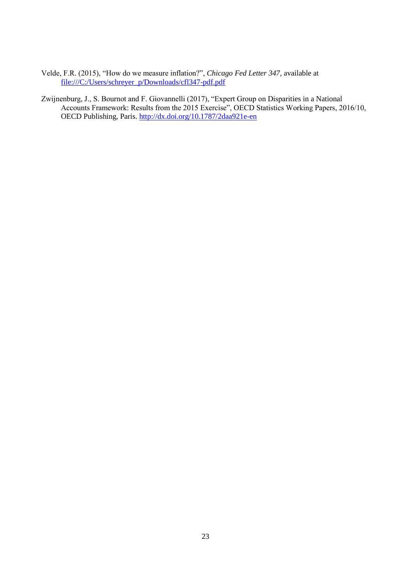- Velde, F.R. (2015), "How do we measure inflation?", *Chicago Fed Letter 347*, available at [file:///C:/Users/schreyer\\_p/Downloads/cfl347-pdf.pdf](file:///C:/Users/schreyer_p/Downloads/cfl347-pdf.pdf)
- Zwijnenburg, J., S. Bournot and F. Giovannelli (2017), "Expert Group on Disparities in a National Accounts Framework: Results from the 2015 Exercise", OECD Statistics Working Papers, 2016/10, OECD Publishing, Paris.<http://dx.doi.org/10.1787/2daa921e-en>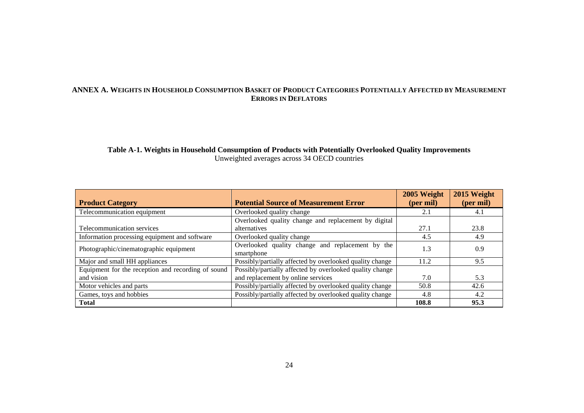# ANNEX A. WEIGHTS IN HOUSEHOLD CONSUMPTION BASKET OF PRODUCT CATEGORIES POTENTIALLY AFFECTED BY MEASUREMENT **ERRORS IN DEFLATORS**

# **Table A-1. Weights in Household Consumption of Products with Potentially Overlooked Quality Improvements** Unweighted averages across 34 OECD countries

| <b>Product Category</b>                            | <b>Potential Source of Measurement Error</b>             | 2005 Weight<br>(per mil) | 2015 Weight<br>(per mil) |
|----------------------------------------------------|----------------------------------------------------------|--------------------------|--------------------------|
| Telecommunication equipment                        | Overlooked quality change                                | 2.1                      | 4.1                      |
|                                                    | Overlooked quality change and replacement by digital     |                          |                          |
| Telecommunication services                         | alternatives                                             | 27.1                     | 23.8                     |
| Information processing equipment and software      | Overlooked quality change                                | 4.5                      | 4.9                      |
| Photographic/cinematographic equipment             | Overlooked quality change and replacement by the         | 1.3                      | 0.9                      |
|                                                    | smartphone                                               |                          |                          |
| Major and small HH appliances                      | Possibly/partially affected by overlooked quality change | 11.2                     | 9.5                      |
| Equipment for the reception and recording of sound | Possibly/partially affected by overlooked quality change |                          |                          |
| and vision                                         | and replacement by online services                       | 7.0                      | 5.3                      |
| Motor vehicles and parts                           | Possibly/partially affected by overlooked quality change | 50.8                     | 42.6                     |
| Games, toys and hobbies                            | Possibly/partially affected by overlooked quality change | 4.8                      | 4.2                      |
| <b>Total</b>                                       |                                                          | 108.8                    | 95.3                     |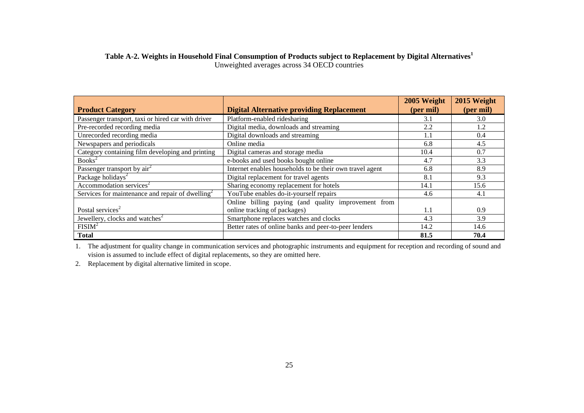#### **Table A-2. Weights in Household Final Consumption of Products subject to Replacement by Digital Alternatives<sup>1</sup>** Unweighted averages across 34 OECD countries

|                                                              |                                                          | 2005 Weight | 2015 Weight |
|--------------------------------------------------------------|----------------------------------------------------------|-------------|-------------|
| <b>Product Category</b>                                      | <b>Digital Alternative providing Replacement</b>         | (per mil)   | (per mil)   |
| Passenger transport, taxi or hired car with driver           | Platform-enabled ridesharing                             | 3.1         | 3.0         |
| Pre-recorded recording media                                 | Digital media, downloads and streaming                   | 2.2         | 1.2         |
| Unrecorded recording media                                   | Digital downloads and streaming                          | 1.1         | 0.4         |
| Newspapers and periodicals                                   | Online media                                             | 6.8         | 4.5         |
| Category containing film developing and printing             | Digital cameras and storage media                        | 10.4        | 0.7         |
| Books <sup>2</sup>                                           | e-books and used books bought online                     | 4.7         | 3.3         |
| Passenger transport by $air2$                                | Internet enables households to be their own travel agent | 6.8         | 8.9         |
| Package holidays <sup>2</sup>                                | Digital replacement for travel agents                    | 8.1         | 9.3         |
| Accommodation services <sup>2</sup>                          | Sharing economy replacement for hotels                   | 14.1        | 15.6        |
| Services for maintenance and repair of dwelling <sup>2</sup> | YouTube enables do-it-yourself repairs                   | 4.6         | 4.1         |
|                                                              | Online billing paying (and quality improvement from      |             |             |
| Postal services <sup>2</sup>                                 | online tracking of packages)                             | 1.1         | 0.9         |
| Jewellery, clocks and watches <sup>2</sup>                   | Smartphone replaces watches and clocks                   | 4.3         | 3.9         |
| FISIM <sup>2</sup>                                           | Better rates of online banks and peer-to-peer lenders    | 14.2        | 14.6        |
| <b>Total</b>                                                 |                                                          | 81.5        | 70.4        |

1. The adjustment for quality change in communication services and photographic instruments and equipment for reception and recording of sound and vision is assumed to include effect of digital replacements, so they are omitted here.

2. Replacement by digital alternative limited in scope.